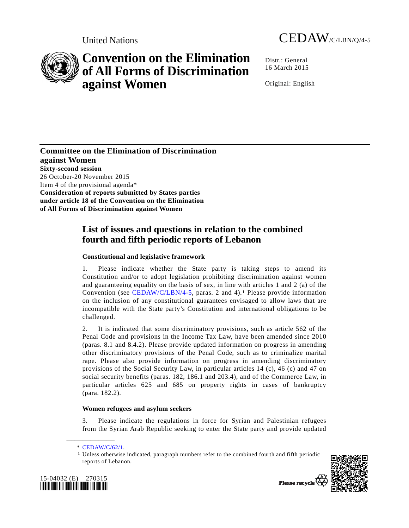



# **Convention on the Elimination of All Forms of Discrimination against Women**

Distr.: General 16 March 2015

Original: English

**Committee on the Elimination of Discrimination against Women Sixty-second session**  26 October-20 November 2015 Item 4 of the provisional agenda\* **Consideration of reports submitted by States parties under article 18 of the Convention on the Elimination of All Forms of Discrimination against Women** 

## **List of issues and questions in relation to the combined fourth and fifth periodic reports of Lebanon**

## **Constitutional and legislative framework**

1. Please indicate whether the State party is taking steps to amend its Constitution and/or to adopt legislation prohibiting discrimination against women and guaranteeing equality on the basis of sex, in line with articles 1 and 2 (a) of the Convention (see CEDAW/C/LBN/4-5, paras. 2 and 4).<sup>1</sup> Please provide information on the inclusion of any constitutional guarantees envisaged to allow laws that are incompatible with the State party's Constitution and international obligations to be challenged.

2. It is indicated that some discriminatory provisions, such as article 562 of the Penal Code and provisions in the Income Tax Law, have been amended since 2010 (paras. 8.1 and 8.4.2). Please provide updated information on progress in amending other discriminatory provisions of the Penal Code, such as to criminalize marital rape. Please also provide information on progress in amending discriminatory provisions of the Social Security Law, in particular articles 14 (c), 46 (c) and 47 on social security benefits (paras. 182, 186.1 and 203.4), and of the Commerce Law, in particular articles 625 and 685 on property rights in cases of bankruptcy (para. 182.2).

### **Women refugees and asylum seekers**

3. Please indicate the regulations in force for Syrian and Palestinian refugees from the Syrian Arab Republic seeking to enter the State party and provide updated

**\_\_\_\_\_\_\_\_\_\_\_\_\_\_\_\_\_\_** 

<sup>1</sup> Unless otherwise indicated, paragraph numbers refer to the combined fourth and fifth periodic reports of Lebanon.





Please recycle \

 <sup>\*</sup> CEDAW/C/62/1.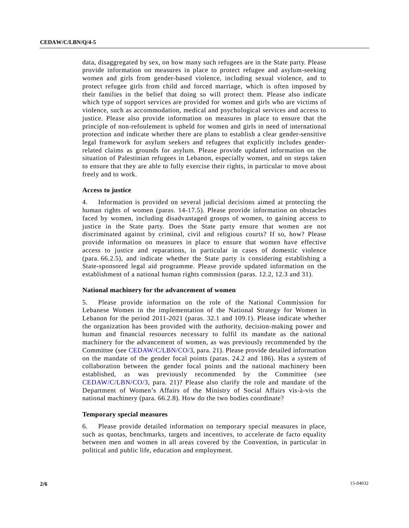data, disaggregated by sex, on how many such refugees are in the State party. Please provide information on measures in place to protect refugee and asylum-seeking women and girls from gender-based violence, including sexual violence, and to protect refugee girls from child and forced marriage, which is often imposed by their families in the belief that doing so will protect them. Please also indicate which type of support services are provided for women and girls who are victims of violence, such as accommodation, medical and psychological services and access to justice. Please also provide information on measures in place to ensure that the principle of non-refoulement is upheld for women and girls in need of international protection and indicate whether there are plans to establish a clear gender-sensitive legal framework for asylum seekers and refugees that explicitly includes genderrelated claims as grounds for asylum. Please provide updated information on the situation of Palestinian refugees in Lebanon, especially women, and on steps taken to ensure that they are able to fully exercise their rights, in particular to move about freely and to work.

#### **Access to justice**

4. Information is provided on several judicial decisions aimed at protecting the human rights of women (paras. 14-17.5). Please provide information on obstacles faced by women, including disadvantaged groups of women, to gaining access to justice in the State party. Does the State party ensure that women are not discriminated against by criminal, civil and religious courts? If so, how? Please provide information on measures in place to ensure that women have effective access to justice and reparations, in particular in cases of domestic violence (para. 66.2.5), and indicate whether the State party is considering establishing a State-sponsored legal aid programme. Please provide updated information on the establishment of a national human rights commission (paras. 12.2, 12.3 and 31).

#### **National machinery for the advancement of women**

5. Please provide information on the role of the National Commission for Lebanese Women in the implementation of the National Strategy for Women in Lebanon for the period 2011-2021 (paras. 32.1 and 109.1). Please indicate whether the organization has been provided with the authority, decision-making power and human and financial resources necessary to fulfil its mandate as the national machinery for the advancement of women, as was previously recommended by the Committee (see CEDAW/C/LBN/CO/3, para. 21). Please provide detailed information on the mandate of the gender focal points (paras. 24.2 and 186). Has a system of collaboration between the gender focal points and the national machinery been established, as was previously recommended by the Committee (see CEDAW/C/LBN/CO/3, para. 21)? Please also clarify the role and mandate of the Department of Women's Affairs of the Ministry of Social Affairs vis-à-vis the national machinery (para. 66.2.8). How do the two bodies coordinate?

#### **Temporary special measures**

6. Please provide detailed information on temporary special measures in place, such as quotas, benchmarks, targets and incentives, to accelerate de facto equality between men and women in all areas covered by the Convention, in particular in political and public life, education and employment.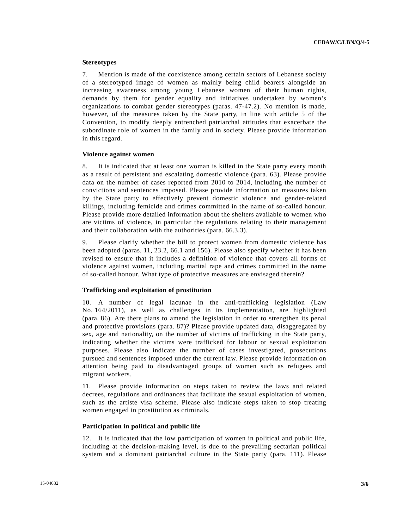#### **Stereotypes**

7. Mention is made of the coexistence among certain sectors of Lebanese society of a stereotyped image of women as mainly being child bearers alongside an increasing awareness among young Lebanese women of their human rights, demands by them for gender equality and initiatives undertaken by women's organizations to combat gender stereotypes (paras. 47-47.2). No mention is made, however, of the measures taken by the State party, in line with article 5 of the Convention, to modify deeply entrenched patriarchal attitudes that exacerbate the subordinate role of women in the family and in society. Please provide information in this regard.

#### **Violence against women**

8. It is indicated that at least one woman is killed in the State party every month as a result of persistent and escalating domestic violence (para. 63). Please provide data on the number of cases reported from 2010 to 2014, including the number of convictions and sentences imposed. Please provide information on measures taken by the State party to effectively prevent domestic violence and gender-related killings, including femicide and crimes committed in the name of so-called honour. Please provide more detailed information about the shelters available to women who are victims of violence, in particular the regulations relating to their management and their collaboration with the authorities (para. 66.3.3).

9. Please clarify whether the bill to protect women from domestic violence has been adopted (paras. 11, 23.2, 66.1 and 156). Please also specify whether it has been revised to ensure that it includes a definition of violence that covers all forms of violence against women, including marital rape and crimes committed in the name of so-called honour. What type of protective measures are envisaged therein?

#### **Trafficking and exploitation of prostitution**

10. A number of legal lacunae in the anti-trafficking legislation (Law No. 164/2011), as well as challenges in its implementation, are highlighted (para. 86). Are there plans to amend the legislation in order to strengthen its penal and protective provisions (para. 87)? Please provide updated data, disaggregated by sex, age and nationality, on the number of victims of trafficking in the State party, indicating whether the victims were trafficked for labour or sexual exploitation purposes. Please also indicate the number of cases investigated, prosecutions pursued and sentences imposed under the current law. Please provide information on attention being paid to disadvantaged groups of women such as refugees and migrant workers.

11. Please provide information on steps taken to review the laws and related decrees, regulations and ordinances that facilitate the sexual exploitation of women, such as the artiste visa scheme. Please also indicate steps taken to stop treating women engaged in prostitution as criminals.

#### **Participation in political and public life**

12. It is indicated that the low participation of women in political and public life, including at the decision-making level, is due to the prevailing sectarian political system and a dominant patriarchal culture in the State party (para. 111). Please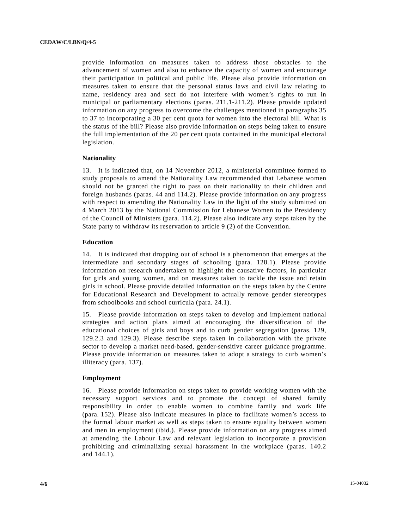provide information on measures taken to address those obstacles to the advancement of women and also to enhance the capacity of women and encourage their participation in political and public life. Please also provide information on measures taken to ensure that the personal status laws and civil law relating to name, residency area and sect do not interfere with women's rights to run in municipal or parliamentary elections (paras. 211.1-211.2). Please provide updated information on any progress to overcome the challenges mentioned in paragraphs 35 to 37 to incorporating a 30 per cent quota for women into the electoral bill. What is the status of the bill? Please also provide information on steps being taken to ensure the full implementation of the 20 per cent quota contained in the municipal electoral legislation.

#### **Nationality**

13. It is indicated that, on 14 November 2012, a ministerial committee formed to study proposals to amend the Nationality Law recommended that Lebanese women should not be granted the right to pass on their nationality to their children and foreign husbands (paras. 44 and 114.2). Please provide information on any progress with respect to amending the Nationality Law in the light of the study submitted on 4 March 2013 by the National Commission for Lebanese Women to the Presidency of the Council of Ministers (para. 114.2). Please also indicate any steps taken by the State party to withdraw its reservation to article 9 (2) of the Convention.

#### **Education**

14. It is indicated that dropping out of school is a phenomenon that emerges at the intermediate and secondary stages of schooling (para. 128.1). Please provide information on research undertaken to highlight the causative factors, in particular for girls and young women, and on measures taken to tackle the issue and retain girls in school. Please provide detailed information on the steps taken by the Centre for Educational Research and Development to actually remove gender stereotypes from schoolbooks and school curricula (para. 24.1).

15. Please provide information on steps taken to develop and implement national strategies and action plans aimed at encouraging the diversification of the educational choices of girls and boys and to curb gender segregation (paras. 129, 129.2.3 and 129.3). Please describe steps taken in collaboration with the private sector to develop a market need-based, gender-sensitive career guidance programme. Please provide information on measures taken to adopt a strategy to curb women's illiteracy (para. 137).

#### **Employment**

16. Please provide information on steps taken to provide working women with the necessary support services and to promote the concept of shared family responsibility in order to enable women to combine family and work life (para. 152). Please also indicate measures in place to facilitate women's access to the formal labour market as well as steps taken to ensure equality between women and men in employment (ibid.). Please provide information on any progress aimed at amending the Labour Law and relevant legislation to incorporate a provision prohibiting and criminalizing sexual harassment in the workplace (paras. 140.2 and 144.1).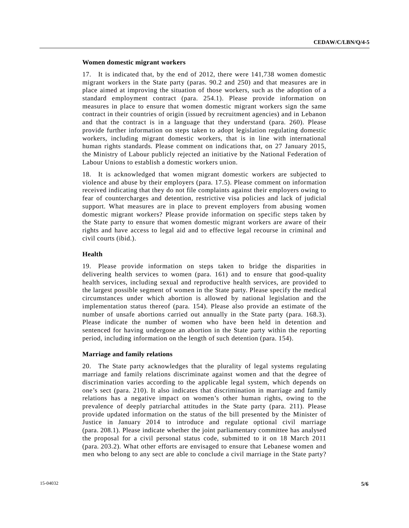#### **Women domestic migrant workers**

17. It is indicated that, by the end of 2012, there were 141,738 women domestic migrant workers in the State party (paras. 90.2 and 250) and that measures are in place aimed at improving the situation of those workers, such as the adoption of a standard employment contract (para. 254.1). Please provide information on measures in place to ensure that women domestic migrant workers sign the same contract in their countries of origin (issued by recruitment agencies) and in Lebanon and that the contract is in a language that they understand (para. 260). Please provide further information on steps taken to adopt legislation regulating domestic workers, including migrant domestic workers, that is in line with international human rights standards. Please comment on indications that, on 27 January 2015, the Ministry of Labour publicly rejected an initiative by the National Federation of Labour Unions to establish a domestic workers union.

18. It is acknowledged that women migrant domestic workers are subjected to violence and abuse by their employers (para. 17.5). Please comment on information received indicating that they do not file complaints against their employers owing to fear of countercharges and detention, restrictive visa policies and lack of judicial support. What measures are in place to prevent employers from abusing women domestic migrant workers? Please provide information on specific steps taken by the State party to ensure that women domestic migrant workers are aware of their rights and have access to legal aid and to effective legal recourse in criminal and civil courts (ibid.).

#### **Health**

19. Please provide information on steps taken to bridge the disparities in delivering health services to women (para. 161) and to ensure that good-quality health services, including sexual and reproductive health services, are provided to the largest possible segment of women in the State party. Please specify the medical circumstances under which abortion is allowed by national legislation and the implementation status thereof (para. 154). Please also provide an estimate of the number of unsafe abortions carried out annually in the State party (para. 168.3). Please indicate the number of women who have been held in detention and sentenced for having undergone an abortion in the State party within the reporting period, including information on the length of such detention (para. 154).

#### **Marriage and family relations**

20. The State party acknowledges that the plurality of legal systems regulating marriage and family relations discriminate against women and that the degree of discrimination varies according to the applicable legal system, which depends on one's sect (para. 210). It also indicates that discrimination in marriage and family relations has a negative impact on women's other human rights, owing to the prevalence of deeply patriarchal attitudes in the State party (para. 211). Please provide updated information on the status of the bill presented by the Minister of Justice in January 2014 to introduce and regulate optional civil marriage (para. 208.1). Please indicate whether the joint parliamentary committee has analysed the proposal for a civil personal status code, submitted to it on 18 March 2011 (para. 203.2). What other efforts are envisaged to ensure that Lebanese women and men who belong to any sect are able to conclude a civil marriage in the State party?